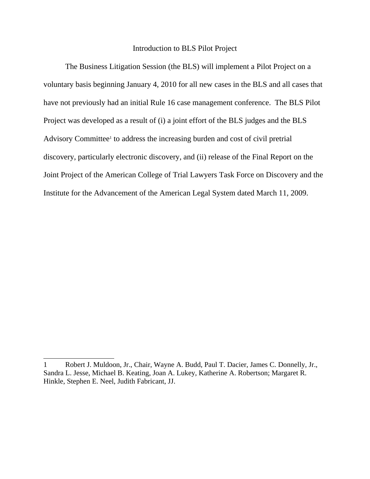## Introduction to BLS Pilot Project

The Business Litigation Session (the BLS) will implement a Pilot Project on a voluntary basis beginning January 4, 2010 for all new cases in the BLS and all cases that have not previously had an initial Rule 16 case management conference. The BLS Pilot Project was developed as a result of (i) a joint effort of the BLS judges and the BLS Advisory Committee<sup>1</sup> to address the increasing burden and cost of civil pretrial discovery, particularly electronic discovery, and (ii) release of the Final Report on the Joint Project of the American College of Trial Lawyers Task Force on Discovery and the Institute for the Advancement of the American Legal System dated March 11, 2009.

<sup>1</sup> Robert J. Muldoon, Jr., Chair, Wayne A. Budd, Paul T. Dacier, James C. Donnelly, Jr., Sandra L. Jesse, Michael B. Keating, Joan A. Lukey, Katherine A. Robertson; Margaret R. Hinkle, Stephen E. Neel, Judith Fabricant, JJ.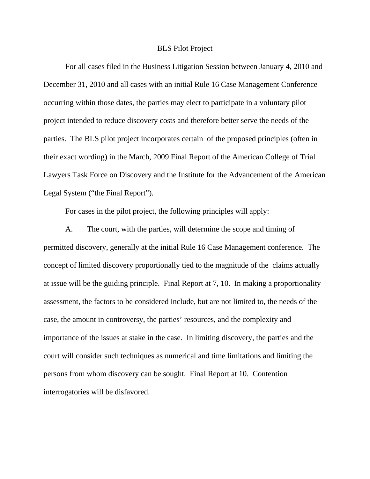## BLS Pilot Project

For all cases filed in the Business Litigation Session between January 4, 2010 and December 31, 2010 and all cases with an initial Rule 16 Case Management Conference occurring within those dates, the parties may elect to participate in a voluntary pilot project intended to reduce discovery costs and therefore better serve the needs of the parties. The BLS pilot project incorporates certain of the proposed principles (often in their exact wording) in the March, 2009 Final Report of the American College of Trial Lawyers Task Force on Discovery and the Institute for the Advancement of the American Legal System ("the Final Report").

For cases in the pilot project, the following principles will apply:

A. The court, with the parties, will determine the scope and timing of permitted discovery, generally at the initial Rule 16 Case Management conference. The concept of limited discovery proportionally tied to the magnitude of the claims actually at issue will be the guiding principle. Final Report at 7, 10. In making a proportionality assessment, the factors to be considered include, but are not limited to, the needs of the case, the amount in controversy, the parties' resources, and the complexity and importance of the issues at stake in the case. In limiting discovery, the parties and the court will consider such techniques as numerical and time limitations and limiting the persons from whom discovery can be sought. Final Report at 10. Contention interrogatories will be disfavored.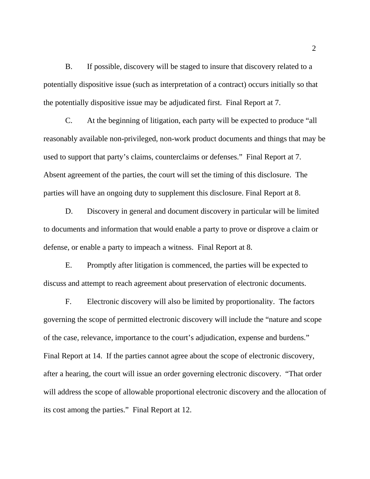B. If possible, discovery will be staged to insure that discovery related to a potentially dispositive issue (such as interpretation of a contract) occurs initially so that the potentially dispositive issue may be adjudicated first. Final Report at 7.

C. At the beginning of litigation, each party will be expected to produce "all reasonably available non-privileged, non-work product documents and things that may be used to support that party's claims, counterclaims or defenses." Final Report at 7. Absent agreement of the parties, the court will set the timing of this disclosure. The parties will have an ongoing duty to supplement this disclosure. Final Report at 8.

D. Discovery in general and document discovery in particular will be limited to documents and information that would enable a party to prove or disprove a claim or defense, or enable a party to impeach a witness. Final Report at 8.

E. Promptly after litigation is commenced, the parties will be expected to discuss and attempt to reach agreement about preservation of electronic documents.

 F. Electronic discovery will also be limited by proportionality. The factors governing the scope of permitted electronic discovery will include the "nature and scope of the case, relevance, importance to the court's adjudication, expense and burdens." Final Report at 14. If the parties cannot agree about the scope of electronic discovery, after a hearing, the court will issue an order governing electronic discovery. "That order will address the scope of allowable proportional electronic discovery and the allocation of its cost among the parties." Final Report at 12.